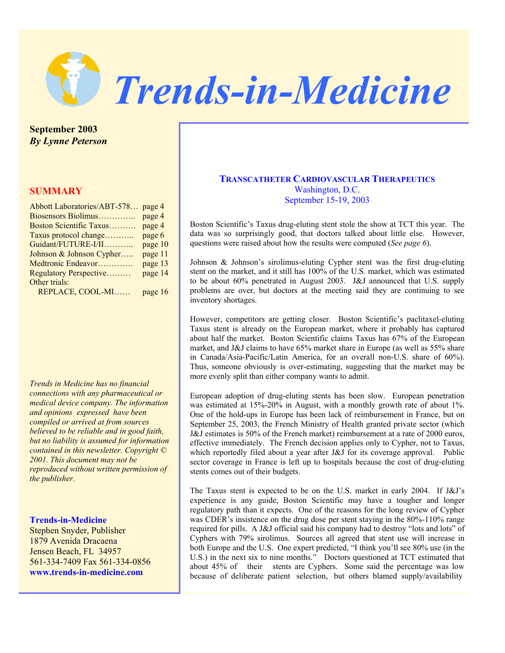

**September 2003**  *By Lynne Peterson* 

# **SUMMARY**

| Abbott Laboratories/ABT-578 page 4 |
|------------------------------------|
| page 4                             |
| page 4                             |
| page 6                             |
| page 10                            |
| page 11                            |
| page 13                            |
| page 14                            |
|                                    |
| page $16$                          |
|                                    |

*Trends in Medicine has no financial connections with any pharmaceutical or medical device company. The information and opinions expressed have been compiled or arrived at from sources believed to be reliable and in good faith, but no liability is assumed for information contained in this newsletter. Copyright © 2001. This document may not be reproduced without written permission of the publisher.* 

### **Trends-in-Medicine**

Stephen Snyder, Publisher 1879 Avenida Dracaena Jensen Beach, FL 34957 561-334-7409 Fax 561-334-0856 **www.trends-in-medicine.com**

# **TRANSCATHETER CARDIOVASCULAR THERAPEUTICS** Washington, D.C. September 15-19, 2003

Boston Scientific's Taxus drug-eluting stent stole the show at TCT this year. The data was so surprisingly good, that doctors talked about little else. However, questions were raised about how the results were computed (*See page 6*).

Johnson & Johnson's sirolimus-eluting Cypher stent was the first drug-eluting stent on the market, and it still has 100% of the U.S. market, which was estimated to be about 60% penetrated in August 2003. J&J announced that U.S. supply problems are over, but doctors at the meeting said they are continuing to see inventory shortages.

However, competitors are getting closer. Boston Scientific's paclitaxel-eluting Taxus stent is already on the European market, where it probably has captured about half the market. Boston Scientific claims Taxus has 67% of the European market, and J&J claims to have 65% market share in Europe (as well as 55% share in Canada/Asia-Pacific/Latin America, for an overall non-U.S. share of 60%). Thus, someone obviously is over-estimating, suggesting that the market may be more evenly split than either company wants to admit.

European adoption of drug-eluting stents has been slow. European penetration was estimated at 15%-20% in August, with a monthly growth rate of about 1%. One of the hold-ups in Europe has been lack of reimbursement in France, but on September 25, 2003, the French Ministry of Health granted private sector (which J&J estimates is 50% of the French market) reimbursement at a rate of 2000 euros, effective immediately. The French decision applies only to Cypher, not to Taxus, which reportedly filed about a year after J&J for its coverage approval. Public sector coverage in France is left up to hospitals because the cost of drug-eluting stents comes out of their budgets.

The Taxus stent is expected to be on the U.S. market in early 2004. If J&J's experience is any guide, Boston Scientific may have a tougher and longer regulatory path than it expects. One of the reasons for the long review of Cypher was CDER's insistence on the drug dose per stent staying in the 80%-110% range required for pills. A J&J official said his company had to destroy "lots and lots" of Cyphers with 79% sirolimus. Sources all agreed that stent use will increase in both Europe and the U.S. One expert predicted, "I think you'll see 80% use (in the U.S.) in the next six to nine months." Doctors questioned at TCT estimated that about 45% of their stents are Cyphers. Some said the percentage was low because of deliberate patient selection, but others blamed supply/availability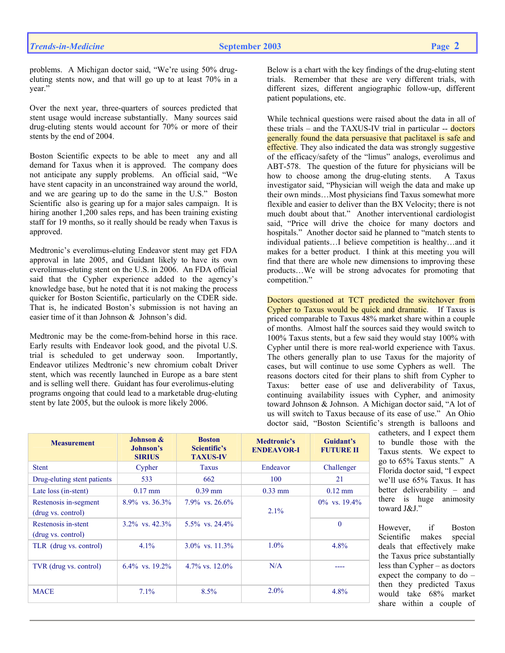problems. A Michigan doctor said, "We're using 50% drugeluting stents now, and that will go up to at least 70% in a year."

Over the next year, three-quarters of sources predicted that stent usage would increase substantially. Many sources said drug-eluting stents would account for 70% or more of their stents by the end of 2004.

Boston Scientific expects to be able to meet any and all demand for Taxus when it is approved. The company does not anticipate any supply problems. An official said, "We have stent capacity in an unconstrained way around the world, and we are gearing up to do the same in the U.S." Boston Scientific also is gearing up for a major sales campaign. It is hiring another 1,200 sales reps, and has been training existing staff for 19 months, so it really should be ready when Taxus is approved.

Medtronic's everolimus-eluting Endeavor stent may get FDA approval in late 2005, and Guidant likely to have its own everolimus-eluting stent on the U.S. in 2006. An FDA official said that the Cypher experience added to the agency's knowledge base, but he noted that it is not making the process quicker for Boston Scientific, particularly on the CDER side. That is, he indicated Boston's submission is not having an easier time of it than Johnson & Johnson's did.

Medtronic may be the come-from-behind horse in this race. Early results with Endeavor look good, and the pivotal U.S. trial is scheduled to get underway soon. Importantly, Endeavor utilizes Medtronic's new chromium cobalt Driver stent, which was recently launched in Europe as a bare stent and is selling well there. Guidant has four everolimus-eluting programs ongoing that could lead to a marketable drug-eluting stent by late 2005, but the oulook is more likely 2006.

Below is a chart with the key findings of the drug-eluting stent trials. Remember that these are very different trials, with different sizes, different angiographic follow-up, different patient populations, etc.

While technical questions were raised about the data in all of these trials – and the TAXUS-IV trial in particular -- doctors generally found the data persuasive that paclitaxel is safe and effective. They also indicated the data was strongly suggestive of the efficacy/safety of the "limus" analogs, everolimus and ABT-578. The question of the future for physicians will be how to choose among the drug-eluting stents. A Taxus investigator said, "Physician will weigh the data and make up their own minds…Most physicians find Taxus somewhat more flexible and easier to deliver than the BX Velocity; there is not much doubt about that." Another interventional cardiologist said, "Price will drive the choice for many doctors and hospitals." Another doctor said he planned to "match stents to individual patients…I believe competition is healthy…and it makes for a better product. I think at this meeting you will find that there are whole new dimensions to improving these products…We will be strong advocates for promoting that competition."

Doctors questioned at TCT predicted the switchover from Cypher to Taxus would be quick and dramatic. If Taxus is priced comparable to Taxus 48% market share within a couple of months. Almost half the sources said they would switch to 100% Taxus stents, but a few said they would stay 100% with Cypher until there is more real-world experience with Taxus. The others generally plan to use Taxus for the majority of cases, but will continue to use some Cyphers as well. The reasons doctors cited for their plans to shift from Cypher to Taxus: better ease of use and deliverability of Taxus, continuing availability issues with Cypher, and animosity toward Johnson & Johnson. A Michigan doctor said, "A lot of us will switch to Taxus because of its ease of use." An Ohio doctor said, "Boston Scientific's strength is balloons and

| <b>Measurement</b>                          | Johnson &<br>Johnson's<br><b>SIRIUS</b> | <b>Boston</b><br>Scientific's<br><b>TAXUS-IV</b> | Medtronic's<br><b>ENDEAVOR-I</b> | Guidant's<br><b>FUTURE II</b> |
|---------------------------------------------|-----------------------------------------|--------------------------------------------------|----------------------------------|-------------------------------|
| <b>Stent</b>                                | Cypher                                  | <b>Taxus</b>                                     | Endeavor                         | Challenger                    |
| Drug-eluting stent patients                 | 533                                     | 662                                              | 100                              | 21                            |
| Late loss (in-stent)                        | $0.17 \text{ mm}$                       | $0.39$ mm                                        | $0.33$ mm                        | $0.12$ mm                     |
| Restenosis in-segment<br>(drug vs. control) | $8.9\%$ vs. $36.3\%$                    | $7.9\%$ vs. $26.6\%$                             | 2.1%                             | $0\%$ vs. 19.4%               |
| Restenosis in-stent<br>(drug vs. control)   | $3.2\%$ vs. $42.3\%$                    | $5.5\%$ vs. 24.4%                                |                                  | $\theta$                      |
| TLR (drug vs. control)                      | $4.1\%$                                 | $3.0\%$ vs. $11.3\%$                             | $1.0\%$                          | 4.8%                          |
| TVR (drug vs. control)                      | $6.4\%$ vs. $19.2\%$                    | $4.7\%$ vs. $12.0\%$                             | N/A                              |                               |
| <b>MACE</b>                                 | $7.1\%$                                 | 8.5%                                             | $2.0\%$                          | $4.8\%$                       |

catheters, and I expect them to bundle those with the Taxus stents. We expect to go to 65% Taxus stents." A Florida doctor said, "I expect we'll use 65% Taxus. It has better deliverability – and there is huge animosity toward J&J."

However, if Boston Scientific makes special deals that effectively make the Taxus price substantially less than Cypher – as doctors expect the company to do – then they predicted Taxus would take 68% market share within a couple of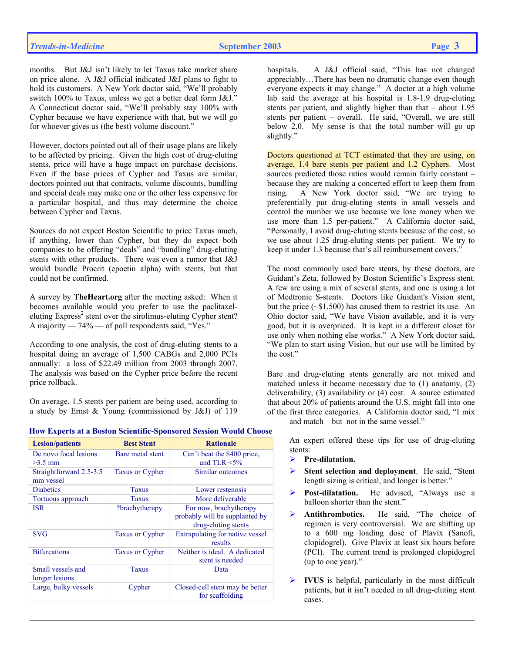months. But J&J isn't likely to let Taxus take market share on price alone. A J&J official indicated J&J plans to fight to hold its customers. A New York doctor said, "We'll probably switch 100% to Taxus, unless we get a better deal form J&J." A Connecticut doctor said, "We'll probably stay 100% with Cypher because we have experience with that, but we will go for whoever gives us (the best) volume discount."

However, doctors pointed out all of their usage plans are likely to be affected by pricing. Given the high cost of drug-eluting stents, price will have a huge impact on purchase decisions. Even if the base prices of Cypher and Taxus are similar, doctors pointed out that contracts, volume discounts, bundling and special deals may make one or the other less expensive for a particular hospital, and thus may determine the choice between Cypher and Taxus.

Sources do not expect Boston Scientific to price Taxus much, if anything, lower than Cypher, but they do expect both companies to be offering "deals" and "bundling" drug-eluting stents with other products. There was even a rumor that J&J would bundle Procrit (epoetin alpha) with stents, but that could not be confirmed.

A survey by **TheHeart.org** after the meeting asked: When it becomes available would you prefer to use the paclitaxeleluting Express<sup>2</sup> stent over the sirolimus-eluting Cypher stent? A majority — 74% — of poll respondents said, "Yes."

According to one analysis, the cost of drug-eluting stents to a hospital doing an average of 1,500 CABGs and 2,000 PCIs annually: a loss of \$22.49 million from 2003 through 2007. The analysis was based on the Cypher price before the recent price rollback.

On average, 1.5 stents per patient are being used, according to a study by Ernst & Young (commissioned by J&J) of 119

| <b>Lesion/patients</b>  | <b>Best Stent</b>      | <b>Rationale</b>                |  |  |  |  |
|-------------------------|------------------------|---------------------------------|--|--|--|--|
| De novo focal lesions   | Bare metal stent       | Can't beat the \$400 price,     |  |  |  |  |
| $>3.5$ mm               |                        | and TLR $\leq$ 5%               |  |  |  |  |
| Straightforward 2.5-3.5 | <b>Taxus or Cypher</b> | Similar outcomes                |  |  |  |  |
| mm vessel               |                        |                                 |  |  |  |  |
| <b>Diabetics</b>        | Taxus                  | Lower restenosis                |  |  |  |  |
| Tortuous approach       | Taxus                  | More deliverable                |  |  |  |  |
| <b>ISR</b>              | ?brachytherapy         | For now, brachytherapy          |  |  |  |  |
|                         |                        | probably will be supplanted by  |  |  |  |  |
|                         |                        | drug-eluting stents             |  |  |  |  |
| <b>SVG</b>              | <b>Taxus or Cypher</b> | Extrapolating for native vessel |  |  |  |  |
|                         |                        | results                         |  |  |  |  |
| <b>Bifurcations</b>     | <b>Taxus or Cypher</b> | Neither is ideal. A dedicated   |  |  |  |  |
|                         |                        | stent is needed                 |  |  |  |  |
| Small vessels and       | Taxus                  | Data                            |  |  |  |  |
| longer lesions          |                        |                                 |  |  |  |  |
| Large, bulky vessels    | Cypher                 | Closed-cell stent may be better |  |  |  |  |
|                         |                        | for scaffolding                 |  |  |  |  |

### **How Experts at a Boston Scientific-Sponsored Session Would Choose**

hospitals. A J&J official said, "This has not changed appreciably…There has been no dramatic change even though everyone expects it may change." A doctor at a high volume lab said the average at his hospital is 1.8-1.9 drug-eluting stents per patient, and slightly higher than that – about 1.95 stents per patient – overall. He said, "Overall, we are still below 2.0. My sense is that the total number will go up slightly."

Doctors questioned at TCT estimated that they are using, on average, 1.4 bare stents per patient and 1.2 Cyphers. Most sources predicted those ratios would remain fairly constant – because they are making a concerted effort to keep them from rising. A New York doctor said, "We are trying to preferentially put drug-eluting stents in small vessels and control the number we use because we lose money when we use more than 1.5 per-patient." A California doctor said, "Personally, I avoid drug-eluting stents because of the cost, so we use about 1.25 drug-eluting stents per patient. We try to keep it under 1.3 because that's all reimbursement covers."

The most commonly used bare stents, by these doctors, are Guidant's Zeta, followed by Boston Scientific's Express stent. A few are using a mix of several stents, and one is using a lot of Medtronic S-stents. Doctors like Guidant's Vision stent, but the price (~\$1,500) has caused them to restrict its use. An Ohio doctor said, "We have Vision available, and it is very good, but it is overpriced. It is kept in a different closet for use only when nothing else works." A New York doctor said, "We plan to start using Vision, but our use will be limited by the cost."

Bare and drug-eluting stents generally are not mixed and matched unless it become necessary due to (1) anatomy, (2) deliverability, (3) availability or (4) cost. A source estimated that about 20% of patients around the U.S. might fall into one of the first three categories. A California doctor said, "I mix and match – but not in the same vessel."

> An expert offered these tips for use of drug-eluting stents:

- ¾ **Pre-dilatation.**
- ¾ **Stent selection and deployment**. He said, "Stent length sizing is critical, and longer is better."
- ¾ **Post-dilatation.** He advised, "Always use a balloon shorter than the stent."
- ¾ **Antithrombotics.** He said, "The choice of regimen is very controversial. We are shifting up to a 600 mg loading dose of Plavix (Sanofi, clopidogrel). Give Plavix at least six hours before (PCI). The current trend is prolonged clopidogrel (up to one year)."
- ¾ **IVUS** is helpful, particularly in the most difficult patients, but it isn't needed in all drug-eluting stent cases.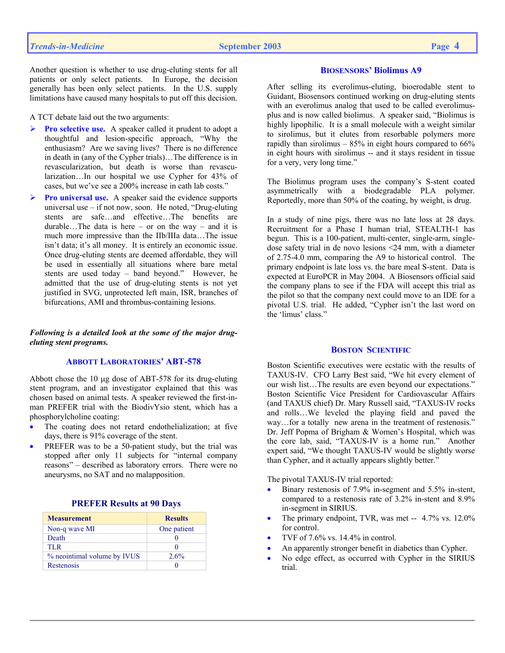A TCT debate laid out the two arguments:

- ¾ **Pro selective use.** A speaker called it prudent to adopt a thoughtful and lesion-specific approach, "Why the enthusiasm? Are we saving lives? There is no difference in death in (any of the Cypher trials)…The difference is in revascularization, but death is worse than revascularization…In our hospital we use Cypher for 43% of cases, but we've see a 200% increase in cath lab costs."
- **Pro universal use.** A speaker said the evidence supports universal use – if not now, soon. He noted, "Drug-eluting stents are safe…and effective…The benefits are durable...The data is here – or on the way – and it is much more impressive than the IIb/IIIa data…The issue isn't data; it's all money. It is entirely an economic issue. Once drug-eluting stents are deemed affordable, they will be used in essentially all situations where bare metal stents are used today – band beyond." However, he admitted that the use of drug-eluting stents is not yet justified in SVG, unprotected left main, ISR, branches of bifurcations, AMI and thrombus-containing lesions.

## *Following is a detailed look at the some of the major drugeluting stent programs.*

### **ABBOTT LABORATORIES' ABT-578**

Abbott chose the 10 µg dose of ABT-578 for its drug-eluting stent program, and an investigator explained that this was chosen based on animal tests. A speaker reviewed the first-inman PREFER trial with the BiodivYsio stent, which has a phosphorylcholine coating:

- The coating does not retard endothelialization; at five days, there is 91% coverage of the stent.
- PREFER was to be a 50-patient study, but the trial was stopped after only 11 subjects for "internal company reasons" – described as laboratory errors. There were no aneurysms, no SAT and no malapposition.

| <b>Measurement</b>          | <b>Results</b> |
|-----------------------------|----------------|
| Non-q wave MI               | One patient    |
| Death                       |                |
| TLR.                        | $_{0}$         |
| % neointimal volume by IVUS | 2.6%           |
| Restenosis                  | o              |
|                             |                |

## **PREFER Results at 90 Days**

### **BIOSENSORS' Biolimus A9**

After selling its everolimus-eluting, bioerodable stent to Guidant, Biosensors continued working on drug-eluting stents with an everolimus analog that used to be called everolimusplus and is now called biolimus. A speaker said, "Biolimus is highly lipophilic. It is a small molecule with a weight similar to sirolimus, but it elutes from resorbable polymers more rapidly than sirolimus  $-85\%$  in eight hours compared to 66% in eight hours with sirolimus -- and it stays resident in tissue for a very, very long time."

The Biolimus program uses the company's S-stent coated asymmetrically with a biodegradable PLA polymer. Reportedly, more than 50% of the coating, by weight, is drug.

In a study of nine pigs, there was no late loss at 28 days. Recruitment for a Phase I human trial, STEALTH-1 has begun. This is a 100-patient, multi-center, single-arm, singledose safety trial in de novo lesions <24 mm, with a diameter of 2.75-4.0 mm, comparing the A9 to historical control. The primary endpoint is late loss vs. the bare meal S-stent. Data is expected at EuroPCR in May 2004. A Biosensors official said the company plans to see if the FDA will accept this trial as the pilot so that the company next could move to an IDE for a pivotal U.S. trial. He added, "Cypher isn't the last word on the 'limus' class."

### **BOSTON SCIENTIFIC**

Boston Scientific executives were ecstatic with the results of TAXUS-IV. CFO Larry Best said, "We hit every element of our wish list…The results are even beyond our expectations." Boston Scientific Vice President for Cardiovascular Affairs (and TAXUS chief) Dr. Mary Russell said, "TAXUS-IV rocks and rolls…We leveled the playing field and paved the way…for a totally new arena in the treatment of restenosis." Dr. Jeff Popma of Brigham & Women's Hospital, which was the core lab, said, "TAXUS-IV is a home run." Another expert said, "We thought TAXUS-IV would be slightly worse than Cypher, and it actually appears slightly better."

The pivotal TAXUS-IV trial reported:

- Binary restenosis of 7.9% in-segment and 5.5% in-stent, compared to a restenosis rate of 3.2% in-stent and 8.9% in-segment in SIRIUS.
- The primary endpoint, TVR, was met -- 4.7% vs. 12.0% for control.
- TVF of 7.6% vs. 14.4% in control.
- An apparently stronger benefit in diabetics than Cypher.
- No edge effect, as occurred with Cypher in the SIRIUS trial.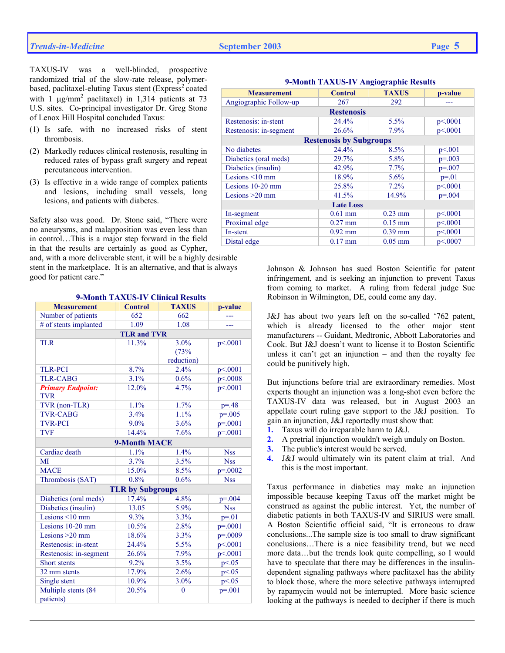TAXUS-IV was a well-blinded, prospective randomized trial of the slow-rate release, polymerbased, paclitaxel-eluting Taxus stent (Express<sup>2</sup> coated with 1  $\mu$ g/mm<sup>2</sup> paclitaxel) in 1,314 patients at 73 U.S. sites. Co-principal investigator Dr. Greg Stone of Lenox Hill Hospital concluded Taxus:

- (1) Is safe, with no increased risks of stent thrombosis.
- (2) Markedly reduces clinical restenosis, resulting in reduced rates of bypass graft surgery and repeat percutaneous intervention.
- (3) Is effective in a wide range of complex patients and lesions, including small vessels, long lesions, and patients with diabetes.

Safety also was good. Dr. Stone said, "There were no aneurysms, and malapposition was even less than in control…This is a major step forward in the field in that the results are certainly as good as Cypher,

and, with a more deliverable stent, it will be a highly desirable stent in the marketplace. It is an alternative, and that is always good for patient care."

| <b>Measurement</b>       | <b>Control</b>          | <b>TAXUS</b> | p-value      |
|--------------------------|-------------------------|--------------|--------------|
| Number of patients       | 652                     | 662          |              |
| # of stents implanted    | 1.09                    | 1.08         | ---          |
|                          | <b>TLR and TVR</b>      |              |              |
| <b>TLR</b>               | 11.3%                   | 3.0%         | p<0.001      |
|                          |                         | (73%         |              |
|                          |                         | reduction)   |              |
| <b>TLR-PCI</b>           | 8.7%                    | 2.4%         | p<.0001      |
| <b>TLR-CABG</b>          | 3.1%                    | 0.6%         | p<.0008      |
| <b>Primary Endpoint:</b> | 12.0%                   | 4.7%         | p<.0001      |
| <b>TVR</b>               |                         |              |              |
| TVR (non-TLR)            | 1.1%                    | 1.7%         | $p = 0.48$   |
| <b>TVR-CABG</b>          | 3.4%                    | 1.1%         | $p = 0.005$  |
| <b>TVR-PCI</b>           | $9.0\%$                 | 3.6%         | $p=.0001$    |
| <b>TVF</b>               | 14.4%                   | 7.6%         | $p = 0001$   |
|                          | <b>9-Month MACE</b>     |              |              |
| Cardiac death            | 1.1%                    | 1.4%         | <b>Nss</b>   |
| MI                       | 3.7%                    | 3.5%         | <b>Nss</b>   |
| <b>MACE</b>              | 15.0%                   | 8.5%         | $p = 0.0002$ |
| Thrombosis (SAT)         | 0.8%                    | 0.6%         | <b>Nss</b>   |
|                          | <b>TLR by Subgroups</b> |              |              |
| Diabetics (oral meds)    | 17.4%                   | 4.8%         | $p = 0.004$  |
| Diabetics (insulin)      | 13.05                   | 5.9%         | <b>Nss</b>   |
| Lesions $\leq 10$ mm     | 9.3%                    | 3.3%         | $p = 01$     |
| Lesions 10-20 mm         | 10.5%                   | 2.8%         | $p = 0.001$  |
| Lesions >20 mm           | 18.6%                   | 3.3%         | $p=.0009$    |
| Restenosis: in-stent     | 24.4%                   | 5.5%         | p<.0001      |
| Restenosis: in-segment   | 26.6%                   | 7.9%         | p<.0001      |
| Short stents             | 9.2%                    | 3.5%         | p < 0.05     |
| 32 mm stents             | 17.9%                   | 2.6%         | p<0.05       |
| Single stent             | 10.9%                   | 3.0%         | p<0.05       |
| Multiple stents (84      | 20.5%                   | $\mathbf{0}$ | $p = 0.001$  |
| patients)                |                         |              |              |

### **9-Month TAXUS-IV Clinical Results**

| <b>Measurement</b>     | <b>Control</b>                 | <b>TAXUS</b> | p-value     |  |  |
|------------------------|--------------------------------|--------------|-------------|--|--|
| Angiographic Follow-up | 267                            | 292          |             |  |  |
|                        | <b>Restenosis</b>              |              |             |  |  |
| Restenosis: in-stent   | 24.4%                          | $5.5\%$      | p<.0001     |  |  |
| Restenosis: in-segment | 26.6%                          | 7.9%         | p<.0001     |  |  |
|                        | <b>Restenosis by Subgroups</b> |              |             |  |  |
| No diabetes            | 24.4%                          | 8.5%         | p<.001      |  |  |
| Diabetics (oral meds)  | 29.7%                          | 5.8%         | $p = 0.003$ |  |  |
| Diabetics (insulin)    | 42.9%                          | 7.7%         | $p = 0.007$ |  |  |
| Lesions $\leq 10$ mm   | 18.9%                          | 5.6%         | $p = 01$    |  |  |
| Lesions $10-20$ mm     | 25.8%                          | 7.2%         | p<0.001     |  |  |
| Lesions $>20$ mm       | 41.5%                          | 14.9%        | $p = 0.004$ |  |  |
| <b>Late Loss</b>       |                                |              |             |  |  |
| In-segment             | $0.61$ mm                      | $0.23$ mm    | p<.0001     |  |  |
| Proximal edge          | $0.27$ mm                      | $0.15$ mm    | p<.0001     |  |  |
| In-stent               | $0.92$ mm                      | $0.39$ mm    | p<.0001     |  |  |
| Distal edge            | $0.17$ mm                      | $0.05$ mm    | p<.0007     |  |  |
|                        |                                |              |             |  |  |

### **9-Month TAXUS-IV Angiographic Results**

Johnson & Johnson has sued Boston Scientific for patent infringement, and is seeking an injunction to prevent Taxus from coming to market. A ruling from federal judge Sue Robinson in Wilmington, DE, could come any day.

J&J has about two years left on the so-called '762 patent, which is already licensed to the other major stent manufacturers -- Guidant, Medtronic, Abbott Laboratories and Cook. But J&J doesn't want to license it to Boston Scientific unless it can't get an injunction  $-$  and then the royalty fee could be punitively high.

But injunctions before trial are extraordinary remedies. Most experts thought an injunction was a long-shot even before the TAXUS-IV data was released, but in August 2003 an appellate court ruling gave support to the J&J position. To gain an injunction, J&J reportedly must show that:

- **1.** Taxus will do irreparable harm to J&J.
- **2.** A pretrial injunction wouldn't weigh unduly on Boston.
- **3.** The public's interest would be served.
- **4.** J&J would ultimately win its patent claim at trial. And this is the most important.

Taxus performance in diabetics may make an injunction impossible because keeping Taxus off the market might be construed as against the public interest. Yet, the number of diabetic patients in both TAXUS-IV and SIRIUS were small. A Boston Scientific official said, "It is erroneous to draw conclusions...The sample size is too small to draw significant conclusions…There is a nice feasibility trend, but we need more data…but the trends look quite compelling, so I would have to speculate that there may be differences in the insulindependent signaling pathways where paclitaxel has the ability to block those, where the more selective pathways interrupted by rapamycin would not be interrupted. More basic science looking at the pathways is needed to decipher if there is much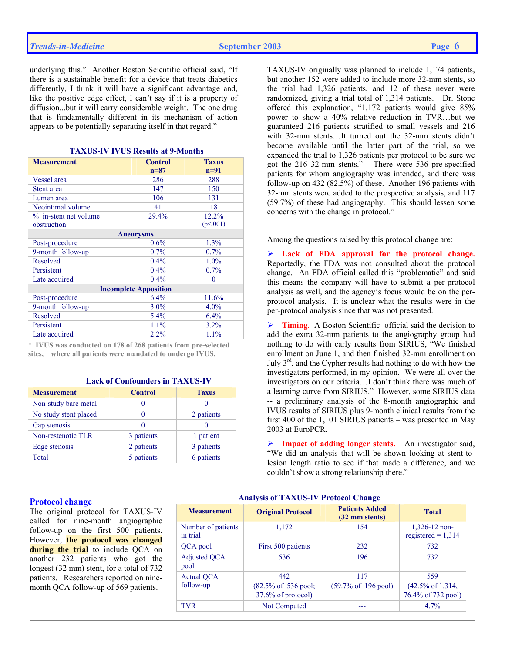underlying this." Another Boston Scientific official said, "If there is a sustainable benefit for a device that treats diabetics differently, I think it will have a significant advantage and, like the positive edge effect, I can't say if it is a property of diffusion...but it will carry considerable weight. The one drug that is fundamentally different in its mechanism of action appears to be potentially separating itself in that regard."

| <b>TAXUS-IV IVUS Results at 9-Months</b> |  |  |  |
|------------------------------------------|--|--|--|
|------------------------------------------|--|--|--|

| <b>Measurement</b>    | <b>Control</b><br>$n=87$     | <b>Taxus</b><br>$n=91$ |
|-----------------------|------------------------------|------------------------|
| Vessel area           | 286                          | 288                    |
| Stent area            | 147                          | 150                    |
| Lumen area            | 106                          | 131                    |
| Neointimal volume     | 41                           | 18                     |
| % in-stent net volume | 29.4%                        | 12.2%                  |
| obstruction           |                              | (p<.001)               |
|                       | <b>Aneurysms</b>             |                        |
| Post-procedure        | 0.6%                         | 1.3%                   |
| 9-month follow-up     | $0.7\%$                      | $0.7\%$                |
| Resolved              | 0.4%                         | $1.0\%$                |
| Persistent            | 0.4%                         | $0.7\%$                |
| Late acquired         | 0.4%                         | 0                      |
|                       | <b>Incomplete Apposition</b> |                        |
| Post-procedure        | 6.4%                         | 11.6%                  |
| 9-month follow-up     | $3.0\%$                      | $4.0\%$                |
| Resolved              | 5.4%                         | 6.4%                   |
| Persistent            | 1.1%                         | $3.2\%$                |
| Late acquired         | 2.2%                         | 1.1%                   |

\* **IVUS was conducted on 178 of 268 patients from pre-selected sites, where all patients were mandated to undergo IVUS.**

## **Lack of Confounders in TAXUS-IV**

| <b>Measurement</b>    | <b>Control</b> | <b>Taxus</b> |
|-----------------------|----------------|--------------|
| Non-study bare metal  |                |              |
| No study stent placed |                | 2 patients   |
| Gap stenosis          |                |              |
| Non-restenotic TLR    | 3 patients     | 1 patient    |
| Edge stenosis         | 2 patients     | 3 patients   |
| Total                 | 5 patients     | 6 patients   |

## TAXUS-IV originally was planned to include 1,174 patients, but another 152 were added to include more 32-mm stents, so the trial had 1,326 patients, and 12 of these never were randomized, giving a trial total of 1,314 patients. Dr. Stone offered this explanation, "1,172 patients would give 85% power to show a 40% relative reduction in TVR…but we guaranteed 216 patients stratified to small vessels and 216 with 32-mm stents…It turned out the 32-mm stents didn't become available until the latter part of the trial, so we expanded the trial to 1,326 patients per protocol to be sure we got the 216 32-mm stents." There were 536 pre-specified patients for whom angiography was intended, and there was follow-up on 432 (82.5%) of these. Another 196 patients with 32-mm stents were added to the prospective analysis, and 117 (59.7%) of these had angiography. This should lessen some concerns with the change in protocol."

Among the questions raised by this protocol change are:

¾ **Lack of FDA approval for the protocol change.**  Reportedly, the FDA was not consulted about the protocol change. An FDA official called this "problematic" and said this means the company will have to submit a per-protocol analysis as well, and the agency's focus would be on the perprotocol analysis. It is unclear what the results were in the per-protocol analysis since that was not presented.

¾ **Timing**. A Boston Scientific official said the decision to add the extra 32-mm patients to the angiography group had nothing to do with early results from SIRIUS, "We finished enrollment on June 1, and then finished 32-mm enrollment on July  $3<sup>rd</sup>$ , and the Cypher results had nothing to do with how the investigators performed, in my opinion. We were all over the investigators on our criteria…I don't think there was much of a learning curve from SIRIUS." However, some SIRIUS data -- a preliminary analysis of the 8-month angiographic and IVUS results of SIRIUS plus 9-month clinical results from the first 400 of the 1,101 SIRIUS patients – was presented in May 2003 at EuroPCR.

¾ **Impact of adding longer stents.** An investigator said, "We did an analysis that will be shown looking at stent-tolesion length ratio to see if that made a difference, and we couldn't show a strong relationship there."

### **Protocol change**

The original protocol for TAXUS-IV called for nine-month angiographic follow-up on the first 500 patients. However, **the protocol was changed during the trial** to include QCA on another 232 patients who got the longest (32 mm) stent, for a total of 732 patients. Researchers reported on ninemonth QCA follow-up of 569 patients.

### **Analysis of TAXUS-IV Protocol Change**

| <b>Measurement</b>             | <b>Original Protocol</b>                  | <b>Patients Added</b><br>(32 mm stents) | <b>Total</b>                            |
|--------------------------------|-------------------------------------------|-----------------------------------------|-----------------------------------------|
| Number of patients<br>in trial | 1,172                                     | 154                                     | $1,326-12$ non-<br>registered = $1,314$ |
| QCA pool                       | First 500 patients                        | 232                                     | 732                                     |
| <b>Adjusted QCA</b><br>pool    | 536                                       | 196                                     | 732                                     |
| <b>Actual QCA</b>              | 442                                       | 117                                     | 559                                     |
| follow-up                      | $(82.5\% \text{ of } 536 \text{ pool})$ ; | $(59.7\% \text{ of } 196 \text{ pool})$ | $(42.5\% \text{ of } 1,314,$            |
|                                | 37.6% of protocol)                        |                                         | 76.4% of 732 pool)                      |
| <b>TVR</b>                     | Not Computed                              |                                         | $4.7\%$                                 |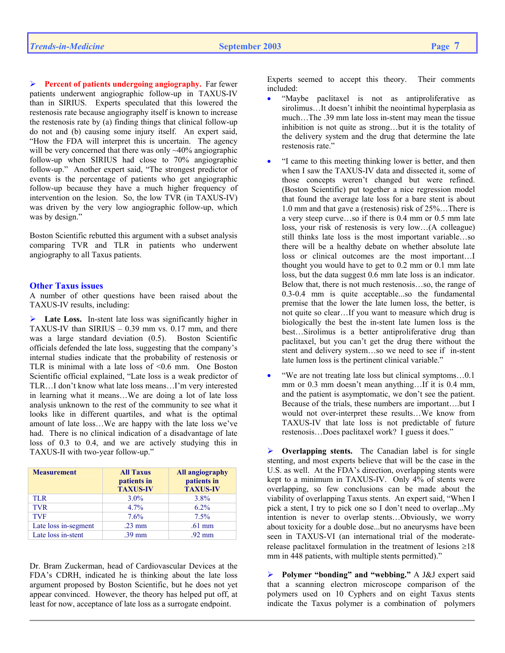¾ **Percent of patients undergoing angiography.** Far fewer patients underwent angiographic follow-up in TAXUS-IV than in SIRIUS. Experts speculated that this lowered the restenosis rate because angiography itself is known to increase the restenosis rate by (a) finding things that clinical follow-up do not and (b) causing some injury itself. An expert said, "How the FDA will interpret this is uncertain. The agency will be very concerned that there was only ~40% angiographic follow-up when SIRIUS had close to 70% angiographic follow-up." Another expert said, "The strongest predictor of events is the percentage of patients who get angiographic follow-up because they have a much higher frequency of intervention on the lesion. So, the low TVR (in TAXUS-IV) was driven by the very low angiographic follow-up, which was by design."

Boston Scientific rebutted this argument with a subset analysis comparing TVR and TLR in patients who underwent angiography to all Taxus patients.

### **Other Taxus issues**

A number of other questions have been raised about the TAXUS-IV results, including:

¾ **Late Loss.** In-stent late loss was significantly higher in TAXUS-IV than SIRIUS – 0.39 mm vs. 0.17 mm, and there was a large standard deviation (0.5). Boston Scientific officials defended the late loss, suggesting that the company's internal studies indicate that the probability of restenosis or TLR is minimal with a late loss of  $\leq 0.6$  mm. One Boston Scientific official explained, "Late loss is a weak predictor of TLR…I don't know what late loss means…I'm very interested in learning what it means…We are doing a lot of late loss analysis unknown to the rest of the community to see what it looks like in different quartiles, and what is the optimal amount of late loss…We are happy with the late loss we've had. There is no clinical indication of a disadvantage of late loss of 0.3 to 0.4, and we are actively studying this in TAXUS-II with two-year follow-up."

| <b>Measurement</b>   | <b>All Taxus</b><br>patients in<br><b>TAXUS-IV</b> | All angiography<br>patients in<br><b>TAXUS-IV</b> |
|----------------------|----------------------------------------------------|---------------------------------------------------|
| <b>TLR</b>           | $3.0\%$                                            | $3.8\%$                                           |
| <b>TVR</b>           | 4.7%                                               | $6.2\%$                                           |
| <b>TVF</b>           | 7.6%                                               | 7.5%                                              |
| Late loss in-segment | $.23 \text{ mm}$                                   | $.61$ mm                                          |
| Late loss in-stent   | $.39$ mm                                           | $.92 \text{ mm}$                                  |

Dr. Bram Zuckerman, head of Cardiovascular Devices at the FDA's CDRH, indicated he is thinking about the late loss argument proposed by Boston Scientific, but he does not yet appear convinced. However, the theory has helped put off, at least for now, acceptance of late loss as a surrogate endpoint.

Experts seemed to accept this theory. Their comments included:

- "Maybe paclitaxel is not as antiproliferative as sirolimus...It doesn't inhibit the neointimal hyperplasia as much…The .39 mm late loss in-stent may mean the tissue inhibition is not quite as strong…but it is the totality of the delivery system and the drug that determine the late restenosis rate."
- "I came to this meeting thinking lower is better, and then when I saw the TAXUS-IV data and dissected it, some of those concepts weren't changed but were refined. (Boston Scientific) put together a nice regression model that found the average late loss for a bare stent is about 1.0 mm and that gave a (restenosis) risk of 25%…There is a very steep curve…so if there is 0.4 mm or 0.5 mm late loss, your risk of restenosis is very low…(A colleague) still thinks late loss is the most important variable…so there will be a healthy debate on whether absolute late loss or clinical outcomes are the most important…I thought you would have to get to 0.2 mm or 0.1 mm late loss, but the data suggest 0.6 mm late loss is an indicator. Below that, there is not much restenosis…so, the range of 0.3-0.4 mm is quite acceptable...so the fundamental premise that the lower the late lumen loss, the better, is not quite so clear…If you want to measure which drug is biologically the best the in-stent late lumen loss is the best…Sirolimus is a better antiproliferative drug than paclitaxel, but you can't get the drug there without the stent and delivery system…so we need to see if in-stent late lumen loss is the pertinent clinical variable."
- "We are not treating late loss but clinical symptoms…0.1 mm or 0.3 mm doesn't mean anything...If it is 0.4 mm, and the patient is asymptomatic, we don't see the patient. Because of the trials, these numbers are important….but I would not over-interpret these results…We know from TAXUS-IV that late loss is not predictable of future restenosis…Does paclitaxel work? I guess it does."

¾ **Overlapping stents.** The Canadian label is for single stenting, and most experts believe that will be the case in the U.S. as well. At the FDA's direction, overlapping stents were kept to a minimum in TAXUS-IV. Only 4% of stents were overlapping, so few conclusions can be made about the viability of overlapping Taxus stents. An expert said, "When I pick a stent, I try to pick one so I don't need to overlap...My intention is never to overlap stents…Obviously, we worry about toxicity for a double dose...but no aneurysms have been seen in TAXUS-VI (an international trial of the moderaterelease paclitaxel formulation in the treatment of lesions ≥18 mm in 448 patients, with multiple stents permitted)."

¾ **Polymer "bonding" and "webbing."** A J&J expert said that a scanning electron microscope comparison of the polymers used on 10 Cyphers and on eight Taxus stents indicate the Taxus polymer is a combination of polymers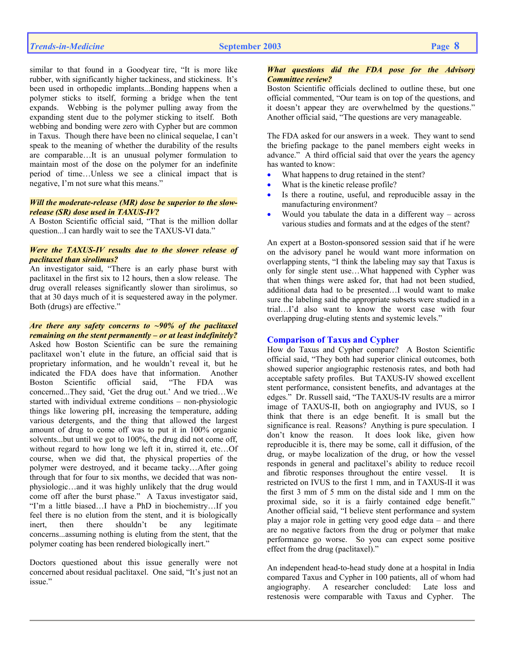similar to that found in a Goodyear tire, "It is more like rubber, with significantly higher tackiness, and stickiness. It's been used in orthopedic implants...Bonding happens when a polymer sticks to itself, forming a bridge when the tent expands. Webbing is the polymer pulling away from the expanding stent due to the polymer sticking to itself. Both webbing and bonding were zero with Cypher but are common in Taxus. Though there have been no clinical sequelae, I can't speak to the meaning of whether the durability of the results are comparable…It is an unusual polymer formulation to maintain most of the dose on the polymer for an indefinite period of time…Unless we see a clinical impact that is negative, I'm not sure what this means."

## *Will the moderate-release (MR) dose be superior to the slowrelease (SR) dose used in TAXUS-IV?*

A Boston Scientific official said, "That is the million dollar question...I can hardly wait to see the TAXUS-VI data."

## *Were the TAXUS-IV results due to the slower release of paclitaxel than sirolimus?*

An investigator said, "There is an early phase burst with paclitaxel in the first six to 12 hours, then a slow release. The drug overall releases significantly slower than sirolimus, so that at 30 days much of it is sequestered away in the polymer. Both (drugs) are effective."

*Are there any safety concerns to ~90% of the paclitaxel remaining on the stent permanently – or at least indefinitely?*  Asked how Boston Scientific can be sure the remaining paclitaxel won't elute in the future, an official said that is proprietary information, and he wouldn't reveal it, but he indicated the FDA does have that information. Another Boston Scientific official said, "The FDA was concerned...They said, 'Get the drug out.' And we tried…We started with individual extreme conditions – non-physiologic things like lowering pH, increasing the temperature, adding various detergents, and the thing that allowed the largest amount of drug to come off was to put it in 100% organic solvents...but until we got to 100%, the drug did not come off, without regard to how long we left it in, stirred it, etc…Of course, when we did that, the physical properties of the polymer were destroyed, and it became tacky…After going through that for four to six months, we decided that was nonphysiologic…and it was highly unlikely that the drug would come off after the burst phase." A Taxus investigator said, "I'm a little biased…I have a PhD in biochemistry…If you feel there is no elution from the stent, and it is biologically inert, then there shouldn't be any legitimate concerns...assuming nothing is eluting from the stent, that the polymer coating has been rendered biologically inert."

Doctors questioned about this issue generally were not concerned about residual paclitaxel. One said, "It's just not an issue."

## *What questions did the FDA pose for the Advisory Committee review?*

Boston Scientific officials declined to outline these, but one official commented, "Our team is on top of the questions, and it doesn't appear they are overwhelmed by the questions." Another official said, "The questions are very manageable.

The FDA asked for our answers in a week. They want to send the briefing package to the panel members eight weeks in advance." A third official said that over the years the agency has wanted to know:

- What happens to drug retained in the stent?
- What is the kinetic release profile?
- Is there a routine, useful, and reproducible assay in the manufacturing environment?
- Would you tabulate the data in a different way across various studies and formats and at the edges of the stent?

An expert at a Boston-sponsored session said that if he were on the advisory panel he would want more information on overlapping stents, "I think the labeling may say that Taxus is only for single stent use…What happened with Cypher was that when things were asked for, that had not been studied, additional data had to be presented…I would want to make sure the labeling said the appropriate subsets were studied in a trial…I'd also want to know the worst case with four overlapping drug-eluting stents and systemic levels."

### **Comparison of Taxus and Cypher**

How do Taxus and Cypher compare? A Boston Scientific official said, "They both had superior clinical outcomes, both showed superior angiographic restenosis rates, and both had acceptable safety profiles. But TAXUS-IV showed excellent stent performance, consistent benefits, and advantages at the edges." Dr. Russell said, "The TAXUS-IV results are a mirror image of TAXUS-II, both on angiography and IVUS, so I think that there is an edge benefit. It is small but the significance is real. Reasons? Anything is pure speculation. I don't know the reason. It does look like, given how reproducible it is, there may be some, call it diffusion, of the drug, or maybe localization of the drug, or how the vessel responds in general and paclitaxel's ability to reduce recoil and fibrotic responses throughout the entire vessel. It is restricted on IVUS to the first 1 mm, and in TAXUS-II it was the first 3 mm of 5 mm on the distal side and 1 mm on the proximal side, so it is a fairly contained edge benefit." Another official said, "I believe stent performance and system play a major role in getting very good edge data – and there are no negative factors from the drug or polymer that make performance go worse. So you can expect some positive effect from the drug (paclitaxel)."

An independent head-to-head study done at a hospital in India compared Taxus and Cypher in 100 patients, all of whom had angiography. A researcher concluded: Late loss and restenosis were comparable with Taxus and Cypher. The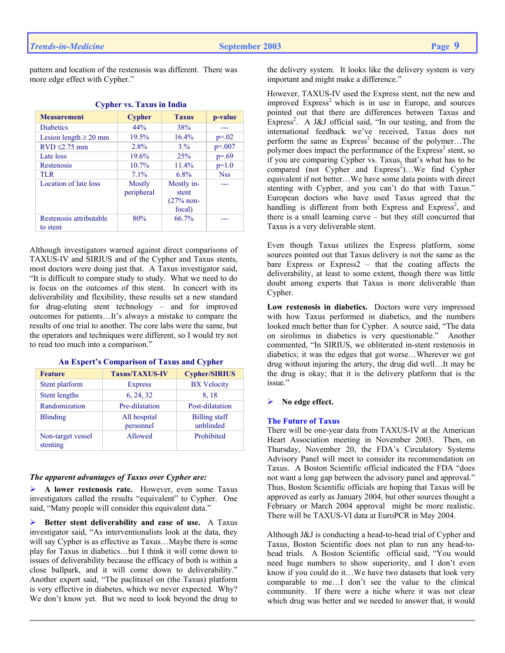pattern and location of the restenosis was different. There was more edge effect with Cypher."

| <b>Measurement</b>         | <b>Cypher</b> | <b>Taxus</b> | p-value     |
|----------------------------|---------------|--------------|-------------|
| <b>Diabetics</b>           | 44%           | 38%          |             |
| Lesion length $\geq 20$ mm | 19.5%         | 16.4%        | $p=.02$     |
| $RVD \leq 2.75$ mm         | 2.8%          | 3.%          | $p = 0.007$ |
| Late loss                  | 19.6%         | 25%          | $p=.69$     |
| Restenosis                 | $10.7\%$      | 11.4%        | $p=1.0$     |
| TLR.                       | 7.1%          | 6.8%         | <b>Nss</b>  |
| Location of late loss      | Mostly        | Mostly in-   |             |
|                            | peripheral    | stent        |             |
|                            |               | $(27%$ non-  |             |
|                            |               | focal)       |             |
| Restenosis attributable    | 80%           | 66.7%        |             |
| to stent                   |               |              |             |

## **Cypher vs. Taxus in India**

Although investigators warned against direct comparisons of TAXUS-IV and SIRIUS and of the Cypher and Taxus stents, most doctors were doing just that. A Taxus investigator said, "It is difficult to compare study to study. What we need to do is focus on the outcomes of this stent. In concert with its deliverability and flexibility, these results set a new standard for drug-eluting stent technology – and for improved outcomes for patients…It's always a mistake to compare the results of one trial to another. The core labs were the same, but the operators and techniques were different, so I would try not to read too much into a comparison."

| <b>Feature</b>                | <b>Taxus/TAXUS-IV</b>     | <b>Cypher/SIRIUS</b>              |
|-------------------------------|---------------------------|-----------------------------------|
| Stent platform                | <b>Express</b>            | <b>BX</b> Velocity                |
| <b>Stent lengths</b>          | 6, 24, 32                 | 8, 18                             |
| Randomization                 | Pre-dilatation            | Post-dilatation                   |
| <b>Blinding</b>               | All hospital<br>personnel | <b>Billing staff</b><br>unblinded |
| Non-target vessel<br>stenting | Allowed                   | Prohibited                        |

### **An Expert's Comparison of Taxus and Cypher**

### *The apparent advantages of Taxus over Cypher are:*

¾ **A lower restenosis rate.** However, even some Taxus investigators called the results "equivalent" to Cypher. One said, "Many people will consider this equivalent data."

¾ **Better stent deliverability and ease of use.** A Taxus investigator said, "As interventionalists look at the data, they will say Cypher is as effective as Taxus...Maybe there is some play for Taxus in diabetics…but I think it will come down to issues of deliverability because the efficacy of both is within a close ballpark, and it will come down to deliverability." Another expert said, "The paclitaxel on (the Taxus) platform is very effective in diabetes, which we never expected. Why? We don't know yet. But we need to look beyond the drug to

the delivery system. It looks like the delivery system is very important and might make a difference."

However, TAXUS-IV used the Express stent, not the new and improved  $Express<sup>2</sup>$  which is in use in Europe, and sources pointed out that there are differences between Taxus and  $\text{Express}^2$ . A J&J official said, "In our testing, and from the international feedback we've received, Taxus does not perform the same as  $Express<sup>2</sup> because of the polymer... The$ polymer does impact the performance of the  $Express<sup>2</sup>$  stent, so if you are comparing Cypher vs. Taxus, that's what has to be compared (not Cypher and Express<sup>2</sup>)...We find Cypher equivalent if not better…We have some data points with direct stenting with Cypher, and you can't do that with Taxus." European doctors who have used Taxus agreed that the handling is different from both Express and Express<sup>2</sup>, and there is a small learning curve – but they still concurred that Taxus is a very deliverable stent.

Even though Taxus utilizes the Express platform, some sources pointed out that Taxus delivery is not the same as the bare Express or Express2 – that the coating affects the deliverability, at least to some extent, though there was little doubt among experts that Taxus is more deliverable than Cypher.

**Low restenosis in diabetics.** Doctors were very impressed with how Taxus performed in diabetics, and the numbers looked much better than for Cypher. A source said, "The data on sirolimus in diabetics is very questionable." Another commented, "In SIRIUS, we obliterated in-stent restenosis in diabetics; it was the edges that got worse…Wherever we got drug without injuring the artery, the drug did well…It may be the drug is okay; that it is the delivery platform that is the issue."

# ¾ **No edge effect.**

### **The Future of Taxus**

There will be one-year data from TAXUS-IV at the American Heart Association meeting in November 2003. Then, on Thursday, November 20, the FDA's Circulatory Systems Advisory Panel will meet to consider its recommendation on Taxus. A Boston Scientific official indicated the FDA "does not want a long gap between the advisory panel and approval." Thus, Boston Scientific officials are hoping that Taxus will be approved as early as January 2004, but other sources thought a February or March 2004 approval might be more realistic. There will be TAXUS-VI data at EuroPCR in May 2004.

Although J&J is conducting a head-to-head trial of Cypher and Taxus, Boston Scientific does not plan to run any head-tohead trials. A Boston Scientific official said, "You would need huge numbers to show superiority, and I don't even know if you could do it…We have two datasets that look very comparable to me…I don't see the value to the clinical community. If there were a niche where it was not clear which drug was better and we needed to answer that, it would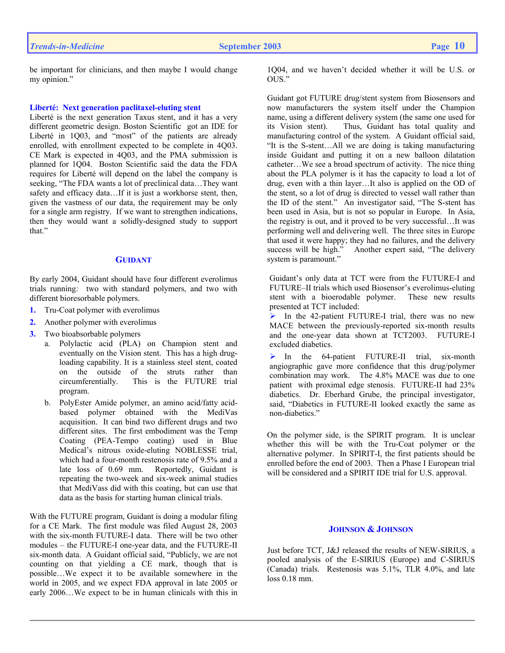be important for clinicians, and then maybe I would change my opinion."

### **Liberté: Next generation paclitaxel-eluting stent**

Liberté is the next generation Taxus stent, and it has a very different geometric design. Boston Scientific got an IDE for Liberté in 1Q03, and "most" of the patients are already enrolled, with enrollment expected to be complete in 4Q03. CE Mark is expected in 4Q03, and the PMA submission is planned for 1Q04. Boston Scientific said the data the FDA requires for Liberté will depend on the label the company is seeking, "The FDA wants a lot of preclinical data…They want safety and efficacy data…If it is just a workhorse stent, then, given the vastness of our data, the requirement may be only for a single arm registry. If we want to strengthen indications, then they would want a solidly-designed study to support that."

### **GUIDANT**

By early 2004, Guidant should have four different everolimus trials running: two with standard polymers, and two with different bioresorbable polymers.

- **1.** Tru-Coat polymer with everolimus
- **2.** Another polymer with everolimus
- **3.** Two bioabsorbable polymers
	- a. Polylactic acid (PLA) on Champion stent and eventually on the Vision stent. This has a high drugloading capability. It is a stainless steel stent, coated on the outside of the struts rather than circumferentially. This is the FUTURE trial program.
	- b. PolyEster Amide polymer, an amino acid/fatty acidbased polymer obtained with the MediVas acquisition. It can bind two different drugs and two different sites. The first embodiment was the Temp Coating (PEA-Tempo coating) used in Blue Medical's nitrous oxide-eluting NOBLESSE trial, which had a four-month restenosis rate of 9.5% and a late loss of 0.69 mm. Reportedly, Guidant is repeating the two-week and six-week animal studies that MediVass did with this coating, but can use that data as the basis for starting human clinical trials.

With the FUTURE program, Guidant is doing a modular filing for a CE Mark. The first module was filed August 28, 2003 with the six-month FUTURE-I data. There will be two other modules – the FUTURE-I one-year data, and the FUTURE-II six-month data. A Guidant official said, "Publicly, we are not counting on that yielding a CE mark, though that is possible…We expect it to be available somewhere in the world in 2005, and we expect FDA approval in late 2005 or early 2006…We expect to be in human clinicals with this in

1Q04, and we haven't decided whether it will be U.S. or OUS."

Guidant got FUTURE drug/stent system from Biosensors and now manufacturers the system itself under the Champion name, using a different delivery system (the same one used for its Vision stent). Thus, Guidant has total quality and manufacturing control of the system. A Guidant official said, "It is the S-stent…All we are doing is taking manufacturing inside Guidant and putting it on a new balloon dilatation catheter…We see a broad spectrum of activity. The nice thing about the PLA polymer is it has the capacity to load a lot of drug, even with a thin layer…It also is applied on the OD of the stent, so a lot of drug is directed to vessel wall rather than the ID of the stent." An investigator said, "The S-stent has been used in Asia, but is not so popular in Europe. In Asia, the registry is out, and it proved to be very successful…It was performing well and delivering well. The three sites in Europe that used it were happy; they had no failures, and the delivery success will be high." Another expert said, "The delivery Another expert said, "The delivery system is paramount."

Guidant's only data at TCT were from the FUTURE-I and FUTURE–II trials which used Biosensor's everolimus-eluting stent with a bioerodable polymer. These new results presented at TCT included:

 $\triangleright$  In the 42-patient FUTURE-I trial, there was no new MACE between the previously-reported six-month results and the one-year data shown at TCT2003. FUTURE-I excluded diabetics.

In the 64-patient FUTURE-II trial, six-month angiographic gave more confidence that this drug/polymer combination may work. The 4.8% MACE was due to one patient with proximal edge stenosis. FUTURE-II had 23% diabetics. Dr. Eberhard Grube, the principal investigator, said, "Diabetics in FUTURE-II looked exactly the same as non-diabetics."

On the polymer side, is the SPIRIT program. It is unclear whether this will be with the Tru-Coat polymer or the alternative polymer. In SPIRIT-I, the first patients should be enrolled before the end of 2003. Then a Phase I European trial will be considered and a SPIRIT IDE trial for U.S. approval.

## **JOHNSON & JOHNSON**

Just before TCT, J&J released the results of NEW-SIRIUS, a pooled analysis of the E-SIRIUS (Europe) and C-SIRIUS (Canada) trials. Restenosis was 5.1%, TLR 4.0%, and late loss 0.18 mm.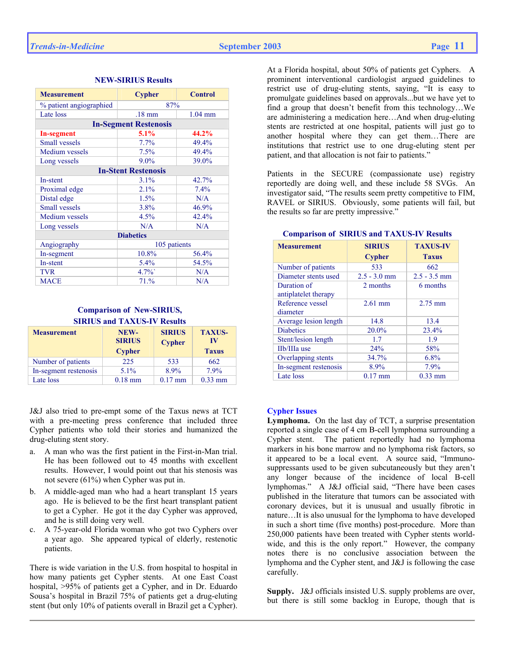| <b>Measurement</b>         | <b>Cypher</b>                 | <b>Control</b> |  |
|----------------------------|-------------------------------|----------------|--|
| % patient angiographied    | 87%                           |                |  |
| Late loss                  | $1.04$ mm<br>$.18 \text{ mm}$ |                |  |
|                            | <b>In-Segment Restenosis</b>  |                |  |
| <b>In-segment</b>          | 5.1%                          | 44.2%          |  |
| <b>Small vessels</b>       | 7.7%                          | 49.4%          |  |
| Medium vessels             | 7.5%                          | 49.4%          |  |
| Long vessels               | $9.0\%$                       | 39.0%          |  |
| <b>In-Stent Restenosis</b> |                               |                |  |
| In-stent                   | 3.1%                          | 42.7%          |  |
| Proximal edge              | 2.1%                          | 7.4%           |  |
| Distal edge                | 1.5%                          | N/A            |  |
| <b>Small vessels</b>       | 3.8%                          | 46.9%          |  |
| Medium vessels             | 4.5%                          | 42.4%          |  |
| Long vessels               | N/A                           | N/A            |  |
| <b>Diabetics</b>           |                               |                |  |
| Angiography                | 105 patients                  |                |  |
| In-segment                 | 10.8%                         | 56.4%          |  |
| In-stent                   | $5.4\%$                       | 54.5%          |  |
| <b>TVR</b>                 | $4.7\%$                       | N/A            |  |
| <b>MACE</b>                | 71.%                          | N/A            |  |

## **NEW-SIRIUS Results**

## **Comparison of New-SIRIUS, SIRIUS and TAXUS-IV Results**

| <b>Measurement</b>    | NEW-<br><b>SIRIUS</b><br><b>Cypher</b> | <b>SIRIUS</b><br><b>Cypher</b> | <b>TAXUS-</b><br>IV<br><b>Taxus</b> |
|-----------------------|----------------------------------------|--------------------------------|-------------------------------------|
| Number of patients    | 225                                    | 533                            | 662                                 |
| In-segment restenosis | 5.1%                                   | 8.9%                           | 7.9%                                |
| Late loss             | $0.18$ mm                              | $0.17$ mm                      | $0.33$ mm                           |

J&J also tried to pre-empt some of the Taxus news at TCT with a pre-meeting press conference that included three Cypher patients who told their stories and humanized the drug-eluting stent story.

- a. A man who was the first patient in the First-in-Man trial. He has been followed out to 45 months with excellent results. However, I would point out that his stenosis was not severe (61%) when Cypher was put in.
- b. A middle-aged man who had a heart transplant 15 years ago. He is believed to be the first heart transplant patient to get a Cypher. He got it the day Cypher was approved, and he is still doing very well.
- c. A 75-year-old Florida woman who got two Cyphers over a year ago. She appeared typical of elderly, restenotic patients.

There is wide variation in the U.S. from hospital to hospital in how many patients get Cypher stents. At one East Coast hospital, >95% of patients get a Cypher, and in Dr. Eduardo Sousa's hospital in Brazil 75% of patients get a drug-eluting stent (but only 10% of patients overall in Brazil get a Cypher).

At a Florida hospital, about 50% of patients get Cyphers. A prominent interventional cardiologist argued guidelines to restrict use of drug-eluting stents, saying, "It is easy to promulgate guidelines based on approvals...but we have yet to find a group that doesn't benefit from this technology…We are administering a medication here…And when drug-eluting stents are restricted at one hospital, patients will just go to another hospital where they can get them…There are institutions that restrict use to one drug-eluting stent per patient, and that allocation is not fair to patients."

Patients in the SECURE (compassionate use) registry reportedly are doing well, and these include 58 SVGs. An investigator said, "The results seem pretty competitive to FIM, RAVEL or SIRIUS. Obviously, some patients will fail, but the results so far are pretty impressive."

| <b>Measurement</b>    | <b>SIRIUS</b>  | <b>TAXUS-IV</b> |
|-----------------------|----------------|-----------------|
|                       | <b>Cypher</b>  | <b>Taxus</b>    |
| Number of patients    | 533            | 662             |
| Diameter stents used  | $2.5 - 3.0$ mm | $2.5 - 3.5$ mm  |
| Duration of           | 2 months       | 6 months        |
| antiplatelet therapy  |                |                 |
| Reference vessel      | $2.61$ mm      | $2.75$ mm       |
| diameter              |                |                 |
| Average lesion length | 14.8           | 13.4            |
| <b>Diabetics</b>      | 20.0%          | 23.4%           |
| Stent/lesion length   | 1.7            | 1.9             |
| IIb/IIIa use          | 24%            | 58%             |
| Overlapping stents    | 34.7%          | 6.8%            |
| In-segment restenosis | 8.9%           | 7.9%            |
| Late loss             | $0.17$ mm      | $0.33$ mm       |

### **Comparison of SIRIUS and TAXUS-IV Results**

### **Cypher Issues**

**Lymphoma.** On the last day of TCT, a surprise presentation reported a single case of 4 cm B-cell lymphoma surrounding a Cypher stent. The patient reportedly had no lymphoma markers in his bone marrow and no lymphoma risk factors, so it appeared to be a local event. A source said, "Immunosuppressants used to be given subcutaneously but they aren't any longer because of the incidence of local B-cell lymphomas." A J&J official said, "There have been cases published in the literature that tumors can be associated with coronary devices, but it is unusual and usually fibrotic in nature…It is also unusual for the lymphoma to have developed in such a short time (five months) post-procedure. More than 250,000 patients have been treated with Cypher stents worldwide, and this is the only report." However, the company notes there is no conclusive association between the lymphoma and the Cypher stent, and J&J is following the case carefully.

**Supply.** J&J officials insisted U.S. supply problems are over, but there is still some backlog in Europe, though that is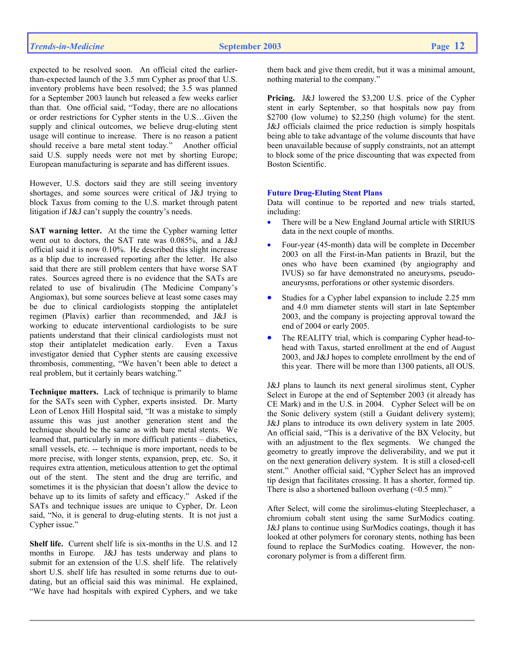expected to be resolved soon. An official cited the earlierthan-expected launch of the 3.5 mm Cypher as proof that U.S. inventory problems have been resolved; the 3.5 was planned for a September 2003 launch but released a few weeks earlier than that. One official said, "Today, there are no allocations or order restrictions for Cypher stents in the U.S…Given the supply and clinical outcomes, we believe drug-eluting stent usage will continue to increase. There is no reason a patient should receive a bare metal stent today." Another official said U.S. supply needs were not met by shorting Europe; European manufacturing is separate and has different issues.

However, U.S. doctors said they are still seeing inventory shortages, and some sources were critical of J&J trying to block Taxus from coming to the U.S. market through patent litigation if J&J can't supply the country's needs.

**SAT warning letter.** At the time the Cypher warning letter went out to doctors, the SAT rate was 0.085%, and a J&J official said it is now 0.10%. He described this slight increase as a blip due to increased reporting after the letter. He also said that there are still problem centers that have worse SAT rates. Sources agreed there is no evidence that the SATs are related to use of bivalirudin (The Medicine Company's Angiomax), but some sources believe at least some cases may be due to clinical cardiologists stopping the antiplatelet regimen (Plavix) earlier than recommended, and J&J is working to educate interventional cardiologists to be sure patients understand that their clinical cardiologists must not stop their antiplatelet medication early. Even a Taxus investigator denied that Cypher stents are causing excessive thrombosis, commenting, "We haven't been able to detect a real problem, but it certainly bears watching."

**Technique matters.** Lack of technique is primarily to blame for the SATs seen with Cypher, experts insisted. Dr. Marty Leon of Lenox Hill Hospital said, "It was a mistake to simply assume this was just another generation stent and the technique should be the same as with bare metal stents. We learned that, particularly in more difficult patients – diabetics, small vessels, etc. -- technique is more important, needs to be more precise, with longer stents, expansion, prep, etc. So, it requires extra attention, meticulous attention to get the optimal out of the stent. The stent and the drug are terrific, and sometimes it is the physician that doesn't allow the device to behave up to its limits of safety and efficacy." Asked if the SATs and technique issues are unique to Cypher, Dr. Leon said, "No, it is general to drug-eluting stents. It is not just a Cypher issue."

**Shelf life.** Current shelf life is six-months in the U.S. and 12 months in Europe. J&J has tests underway and plans to submit for an extension of the U.S. shelf life. The relatively short U.S. shelf life has resulted in some returns due to outdating, but an official said this was minimal. He explained, "We have had hospitals with expired Cyphers, and we take them back and give them credit, but it was a minimal amount, nothing material to the company."

**Pricing.** J&J lowered the \$3,200 U.S. price of the Cypher stent in early September, so that hospitals now pay from \$2700 (low volume) to \$2,250 (high volume) for the stent. J&J officials claimed the price reduction is simply hospitals being able to take advantage of the volume discounts that have been unavailable because of supply constraints, not an attempt to block some of the price discounting that was expected from Boston Scientific.

### **Future Drug-Eluting Stent Plans**

Data will continue to be reported and new trials started, including:

- There will be a New England Journal article with SIRIUS data in the next couple of months.
- Four-year (45-month) data will be complete in December 2003 on all the First-in-Man patients in Brazil, but the ones who have been examined (by angiography and IVUS) so far have demonstrated no aneurysms, pseudoaneurysms, perforations or other systemic disorders.
- Studies for a Cypher label expansion to include 2.25 mm and 4.0 mm diameter stents will start in late September 2003, and the company is projecting approval toward the end of 2004 or early 2005.
- The REALITY trial, which is comparing Cypher head-tohead with Taxus, started enrollment at the end of August 2003, and J&J hopes to complete enrollment by the end of this year. There will be more than 1300 patients, all OUS.

J&J plans to launch its next general sirolimus stent, Cypher Select in Europe at the end of September 2003 (it already has CE Mark) and in the U.S. in 2004. Cypher Select will be on the Sonic delivery system (still a Guidant delivery system); J&J plans to introduce its own delivery system in late 2005. An official said, "This is a derivative of the BX Velocity, but with an adjustment to the flex segments. We changed the geometry to greatly improve the deliverability, and we put it on the next generation delivery system. It is still a closed-cell stent." Another official said, "Cypher Select has an improved tip design that facilitates crossing. It has a shorter, formed tip. There is also a shortened balloon overhang  $( $0.5 \text{ mm}$ ).$ "

After Select, will come the sirolimus-eluting Steeplechaser, a chromium cobalt stent using the same SurModics coating. J&J plans to continue using SurModics coatings, though it has looked at other polymers for coronary stents, nothing has been found to replace the SurModics coating. However, the noncoronary polymer is from a different firm.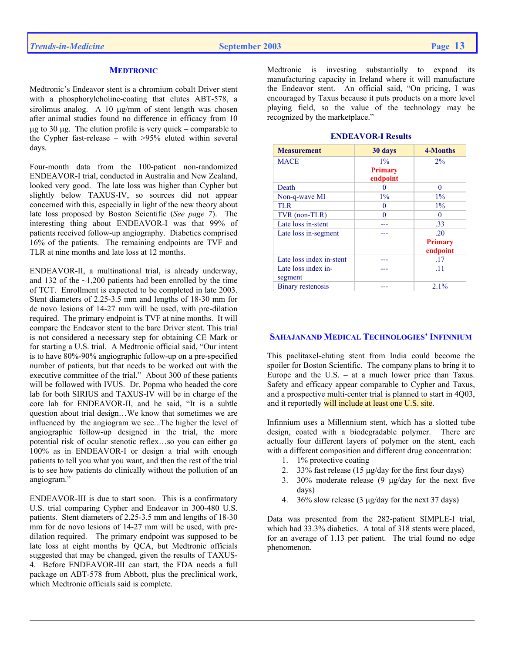### **MEDTRONIC**

Medtronic's Endeavor stent is a chromium cobalt Driver stent with a phosphorylcholine-coating that elutes ABT-578, a sirolimus analog. A 10 µg/mm of stent length was chosen after animal studies found no difference in efficacy from 10  $\mu$ g to 30  $\mu$ g. The elution profile is very quick – comparable to the Cypher fast-release – with >95% eluted within several days.

Four-month data from the 100-patient non-randomized ENDEAVOR-I trial, conducted in Australia and New Zealand, looked very good. The late loss was higher than Cypher but slightly below TAXUS-IV, so sources did not appear concerned with this, especially in light of the new theory about late loss proposed by Boston Scientific (*See page 7*). The interesting thing about ENDEAVOR-I was that 99% of patients received follow-up angiography. Diabetics comprised 16% of the patients. The remaining endpoints are TVF and TLR at nine months and late loss at 12 months.

ENDEAVOR-II, a multinational trial, is already underway, and 132 of the  $\sim$ 1,200 patients had been enrolled by the time of TCT. Enrollment is expected to be completed in late 2003. Stent diameters of 2.25-3.5 mm and lengths of 18-30 mm for de novo lesions of 14-27 mm will be used, with pre-dilation required. The primary endpoint is TVF at nine months. It will compare the Endeavor stent to the bare Driver stent. This trial is not considered a necessary step for obtaining CE Mark or for starting a U.S. trial. A Medtronic official said, "Our intent is to have 80%-90% angiographic follow-up on a pre-specified number of patients, but that needs to be worked out with the executive committee of the trial." About 300 of these patients will be followed with IVUS. Dr. Popma who headed the core lab for both SIRIUS and TAXUS-IV will be in charge of the core lab for ENDEAVOR-II, and he said, "It is a subtle question about trial design…We know that sometimes we are influenced by the angiogram we see...The higher the level of angiographic follow-up designed in the trial, the more potential risk of ocular stenotic reflex…so you can either go 100% as in ENDEAVOR-I or design a trial with enough patients to tell you what you want, and then the rest of the trial is to see how patients do clinically without the pollution of an angiogram."

ENDEAVOR-III is due to start soon. This is a confirmatory U.S. trial comparing Cypher and Endeavor in 300-480 U.S. patients. Stent diameters of 2.25-3.5 mm and lengths of 18-30 mm for de novo lesions of 14-27 mm will be used, with predilation required. The primary endpoint was supposed to be late loss at eight months by QCA, but Medtronic officials suggested that may be changed, given the results of TAXUS-4. Before ENDEAVOR-III can start, the FDA needs a full package on ABT-578 from Abbott, plus the preclinical work, which Medtronic officials said is complete.

Medtronic is investing substantially to expand its manufacturing capacity in Ireland where it will manufacture the Endeavor stent. An official said, "On pricing, I was encouraged by Taxus because it puts products on a more level playing field, so the value of the technology may be recognized by the marketplace."

| <b>Measurement</b>       | 30 days                    | 4-Months       |
|--------------------------|----------------------------|----------------|
| <b>MACE</b>              | $1\%$                      | $2\%$          |
|                          | <b>Primary</b><br>endpoint |                |
| Death                    |                            | 0              |
| Non-q-wave MI            | $1\%$                      | $1\%$          |
| <b>TLR</b>               | $\Omega$                   | $1\%$          |
| TVR (non-TLR)            | O                          | $_{0}$         |
| Late loss in-stent       |                            | .33            |
| Late loss in-segment     |                            | -20            |
|                          |                            | <b>Primary</b> |
|                          |                            | endpoint       |
| Late loss index in-stent |                            | .17            |
| Late loss index in-      |                            | .11            |
| segment                  |                            |                |
| Binary restenosis        |                            | $2.1\%$        |

## **SAHAJANAND MEDICAL TECHNOLOGIES' INFINNIUM**

This paclitaxel-eluting stent from India could become the spoiler for Boston Scientific. The company plans to bring it to Europe and the U.S. – at a much lower price than Taxus. Safety and efficacy appear comparable to Cypher and Taxus, and a prospective multi-center trial is planned to start in 4Q03, and it reportedly will include at least one U.S. site.

Infinnium uses a Millennium stent, which has a slotted tube design, coated with a biodegradable polymer. There are actually four different layers of polymer on the stent, each with a different composition and different drug concentration:

- 1. 1% protective coating
- 2. 33% fast release (15 µg/day for the first four days)
- 3. 30% moderate release  $(9 \mu g/day)$  for the next five days)
- 4. 36% slow release (3 µg/day for the next 37 days)

Data was presented from the 282-patient SIMPLE-I trial, which had  $33.3\%$  diabetics. A total of 318 stents were placed, for an average of 1.13 per patient. The trial found no edge phenomenon.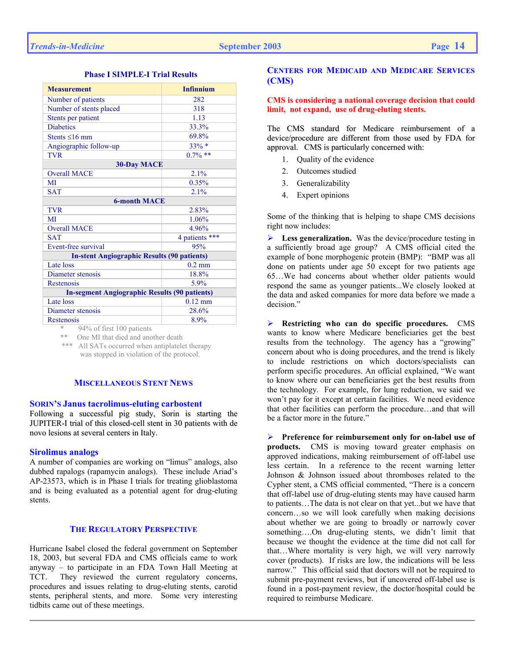| <b>Measurement</b>                                   | <b>Infinnium</b> |  |  |
|------------------------------------------------------|------------------|--|--|
| Number of patients                                   | 282              |  |  |
| Number of stents placed                              | 318              |  |  |
| Stents per patient                                   | 1.13             |  |  |
| <b>Diabetics</b>                                     | 33.3%            |  |  |
| Stents $\leq 16$ mm                                  | 69.8%            |  |  |
| Angiographic follow-up                               | 33% *            |  |  |
| <b>TVR</b>                                           | $0.7\%$ **       |  |  |
| <b>30-Day MACE</b>                                   |                  |  |  |
| <b>Overall MACE</b>                                  | 2.1%             |  |  |
| MI                                                   | 0.35%            |  |  |
| <b>SAT</b>                                           | 2.1%             |  |  |
| <b>6-month MACE</b>                                  |                  |  |  |
| <b>TVR</b>                                           | 2.83%            |  |  |
| MI                                                   | 1.06%            |  |  |
| <b>Overall MACE</b>                                  | 4.96%            |  |  |
| <b>SAT</b>                                           | 4 patients ***   |  |  |
| Event-free survival                                  | 95%              |  |  |
| <b>In-stent Angiographic Results (90 patients)</b>   |                  |  |  |
| Late loss                                            | $0.2$ mm         |  |  |
| Diameter stenosis                                    | 18.8%            |  |  |
| Restenosis                                           | $5.9\%$          |  |  |
| <b>In-segment Angiographic Results (90 patients)</b> |                  |  |  |
| Late loss                                            | $0.12$ mm        |  |  |
| Diameter stenosis                                    | 28.6%            |  |  |
| Restenosis<br>$0.407 - 0.02 - 1.00 - 12$             | 8.9%             |  |  |

# **Phase I SIMPLE-I Trial Results**

94% of first 100 patients

\*\* One MI that died and another death

 \*\*\* All SATs occurred when antiplatelet therapy was stopped in violation of the protocol.

## **MISCELLANEOUS STENT NEWS**

### **SORIN'S Janus tacrolimus-eluting carbostent**

Following a successful pig study, Sorin is starting the JUPITER-I trial of this closed-cell stent in 30 patients with de novo lesions at several centers in Italy.

### **Sirolimus analogs**

A number of companies are working on "limus" analogs, also dubbed rapalogs (rapamycin analogs). These include Ariad's AP-23573, which is in Phase I trials for treating glioblastoma and is being evaluated as a potential agent for drug-eluting stents.

### **THE REGULATORY PERSPECTIVE**

Hurricane Isabel closed the federal government on September 18, 2003, but several FDA and CMS officials came to work anyway – to participate in an FDA Town Hall Meeting at TCT. They reviewed the current regulatory concerns, procedures and issues relating to drug-eluting stents, carotid stents, peripheral stents, and more. Some very interesting tidbits came out of these meetings.

# **CENTERS FOR MEDICAID AND MEDICARE SERVICES (CMS)**

## **CMS is considering a national coverage decision that could limit, not expand, use of drug-eluting stents.**

The CMS standard for Medicare reimbursement of a device/procedure are different from those used by FDA for approval. CMS is particularly concerned with:

- 1. Quality of the evidence
- 2. Outcomes studied
- 3. Generalizability
- 4. Expert opinions

Some of the thinking that is helping to shape CMS decisions right now includes:

¾ **Less generalization.** Was the device/procedure testing in a sufficiently broad age group? A CMS official cited the example of bone morphogenic protein (BMP): "BMP was all done on patients under age 50 except for two patients age 65…We had concerns about whether older patients would respond the same as younger patients...We closely looked at the data and asked companies for more data before we made a decision."

¾ **Restricting who can do specific procedures.** CMS wants to know where Medicare beneficiaries get the best results from the technology. The agency has a "growing" concern about who is doing procedures, and the trend is likely to include restrictions on which doctors/specialists can perform specific procedures. An official explained, "We want to know where our can beneficiaries get the best results from the technology. For example, for lung reduction, we said we won't pay for it except at certain facilities. We need evidence that other facilities can perform the procedure…and that will be a factor more in the future."

¾ **Preference for reimbursement only for on-label use of products.** CMS is moving toward greater emphasis on approved indications, making reimbursement of off-label use less certain. In a reference to the recent warning letter Johnson & Johnson issued about thromboses related to the Cypher stent, a CMS official commented, "There is a concern that off-label use of drug-eluting stents may have caused harm to patients…The data is not clear on that yet...but we have that concern…so we will look carefully when making decisions about whether we are going to broadly or narrowly cover something….On drug-eluting stents, we didn't limit that because we thought the evidence at the time did not call for that…Where mortality is very high, we will very narrowly cover (products). If risks are low, the indications will be less narrow." This official said that doctors will not be required to submit pre-payment reviews, but if uncovered off-label use is found in a post-payment review, the doctor/hospital could be required to reimburse Medicare.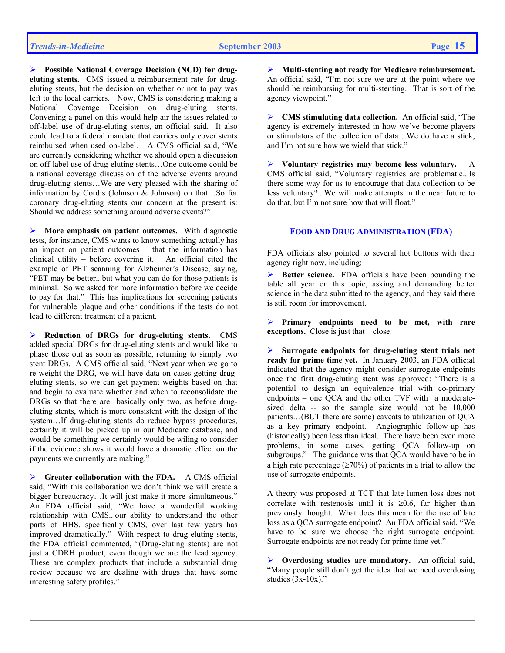¾ **Possible National Coverage Decision (NCD) for drugeluting stents.** CMS issued a reimbursement rate for drugeluting stents, but the decision on whether or not to pay was left to the local carriers. Now, CMS is considering making a National Coverage Decision on drug-eluting stents. Convening a panel on this would help air the issues related to off-label use of drug-eluting stents, an official said. It also could lead to a federal mandate that carriers only cover stents reimbursed when used on-label. A CMS official said, "We are currently considering whether we should open a discussion on off-label use of drug-eluting stents…One outcome could be a national coverage discussion of the adverse events around drug-eluting stents…We are very pleased with the sharing of information by Cordis (Johnson & Johnson) on that…So for coronary drug-eluting stents our concern at the present is: Should we address something around adverse events?"

¾ **More emphasis on patient outcomes.** With diagnostic tests, for instance, CMS wants to know something actually has an impact on patient outcomes – that the information has clinical utility – before covering it. An official cited the example of PET scanning for Alzheimer's Disease, saying, "PET may be better...but what you can do for those patients is minimal. So we asked for more information before we decide to pay for that." This has implications for screening patients for vulnerable plaque and other conditions if the tests do not lead to different treatment of a patient.

¾ **Reduction of DRGs for drug-eluting stents.** CMS added special DRGs for drug-eluting stents and would like to phase those out as soon as possible, returning to simply two stent DRGs. A CMS official said, "Next year when we go to re-weight the DRG, we will have data on cases getting drugeluting stents, so we can get payment weights based on that and begin to evaluate whether and when to reconsolidate the DRGs so that there are basically only two, as before drugeluting stents, which is more consistent with the design of the system…If drug-eluting stents do reduce bypass procedures, certainly it will be picked up in our Medicare database, and would be something we certainly would be wiling to consider if the evidence shows it would have a dramatic effect on the payments we currently are making."

**Greater collaboration with the FDA.** A CMS official said, "With this collaboration we don't think we will create a bigger bureaucracy…It will just make it more simultaneous." An FDA official said, "We have a wonderful working relationship with CMS...our ability to understand the other parts of HHS, specifically CMS, over last few years has improved dramatically." With respect to drug-eluting stents, the FDA official commented, "(Drug-eluting stents) are not just a CDRH product, even though we are the lead agency. These are complex products that include a substantial drug review because we are dealing with drugs that have some interesting safety profiles."

¾ **Multi-stenting not ready for Medicare reimbursement.**  An official said, "I'm not sure we are at the point where we should be reimbursing for multi-stenting. That is sort of the agency viewpoint."

¾ **CMS stimulating data collection.** An official said, "The agency is extremely interested in how we've become players or stimulators of the collection of data…We do have a stick, and I'm not sure how we wield that stick."

¾ **Voluntary registries may become less voluntary.** A CMS official said, "Voluntary registries are problematic...Is there some way for us to encourage that data collection to be less voluntary?...We will make attempts in the near future to do that, but I'm not sure how that will float."

# **FOOD AND DRUG ADMINISTRATION (FDA)**

FDA officials also pointed to several hot buttons with their agency right now, including:

¾ **Better science.** FDA officials have been pounding the table all year on this topic, asking and demanding better science in the data submitted to the agency, and they said there is still room for improvement.

¾ **Primary endpoints need to be met, with rare exceptions.** Close is just that – close.

¾ **Surrogate endpoints for drug-eluting stent trials not ready for prime time yet.** In January 2003, an FDA official indicated that the agency might consider surrogate endpoints once the first drug-eluting stent was approved: "There is a potential to design an equivalence trial with co-primary endpoints – one QCA and the other TVF with a moderatesized delta -- so the sample size would not be 10,000 patients…(BUT there are some) caveats to utilization of QCA as a key primary endpoint. Angiographic follow-up has (historically) been less than ideal. There have been even more problems, in some cases, getting QCA follow-up on subgroups." The guidance was that QCA would have to be in a high rate percentage ( $\geq 70\%$ ) of patients in a trial to allow the use of surrogate endpoints.

A theory was proposed at TCT that late lumen loss does not correlate with restenosis until it is  $\geq 0.6$ , far higher than previously thought. What does this mean for the use of late loss as a QCA surrogate endpoint? An FDA official said, "We have to be sure we choose the right surrogate endpoint. Surrogate endpoints are not ready for prime time yet."

¾ **Overdosing studies are mandatory.** An official said, "Many people still don't get the idea that we need overdosing studies  $(3x-10x)$ ."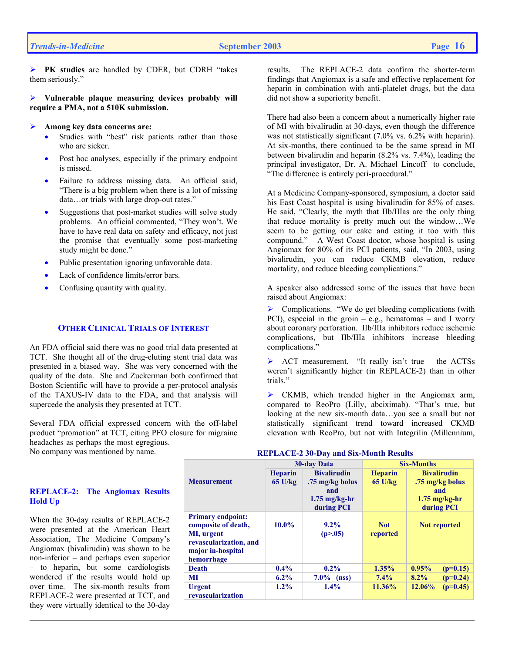¾ **PK studies** are handled by CDER, but CDRH "takes them seriously."

¾ **Vulnerable plaque measuring devices probably will require a PMA, not a 510K submission.** 

## ¾ **Among key data concerns are:**

- Studies with "best" risk patients rather than those who are sicker.
- Post hoc analyses, especially if the primary endpoint is missed.
- Failure to address missing data. An official said, "There is a big problem when there is a lot of missing data…or trials with large drop-out rates."
- Suggestions that post-market studies will solve study problems. An official commented, "They won't. We have to have real data on safety and efficacy, not just the promise that eventually some post-marketing study might be done."
- Public presentation ignoring unfavorable data.
- Lack of confidence limits/error bars.
- Confusing quantity with quality.

## **OTHER CLINICAL TRIALS OF INTEREST**

An FDA official said there was no good trial data presented at TCT. She thought all of the drug-eluting stent trial data was presented in a biased way. She was very concerned with the quality of the data. She and Zuckerman both confirmed that Boston Scientific will have to provide a per-protocol analysis of the TAXUS-IV data to the FDA, and that analysis will supercede the analysis they presented at TCT.

Several FDA official expressed concern with the off-label product "promotion" at TCT, citing PFO closure for migraine headaches as perhaps the most egregious.

No company was mentioned by name.

## **REPLACE-2: The Angiomax Results Hold Up**

When the 30-day results of REPLACE-2 were presented at the American Heart Association, The Medicine Company's Angiomax (bivalirudin) was shown to be non-inferior – and perhaps even superior – to heparin, but some cardiologists wondered if the results would hold up over time. The six-month results from REPLACE-2 were presented at TCT, and they were virtually identical to the 30-day

results. The REPLACE-2 data confirm the shorter-term findings that Angiomax is a safe and effective replacement for heparin in combination with anti-platelet drugs, but the data did not show a superiority benefit.

There had also been a concern about a numerically higher rate of MI with bivalirudin at 30-days, even though the difference was not statistically significant (7.0% vs. 6.2% with heparin). At six-months, there continued to be the same spread in MI between bivalirudin and heparin (8.2% vs. 7.4%), leading the principal investigator, Dr. A. Michael Lincoff to conclude, "The difference is entirely peri-procedural."

At a Medicine Company-sponsored, symposium, a doctor said his East Coast hospital is using bivalirudin for 85% of cases. He said, "Clearly, the myth that IIb/IIIas are the only thing that reduce mortality is pretty much out the window…We seem to be getting our cake and eating it too with this compound." A West Coast doctor, whose hospital is using Angiomax for 80% of its PCI patients, said, "In 2003, using bivalirudin, you can reduce CKMB elevation, reduce mortality, and reduce bleeding complications."

A speaker also addressed some of the issues that have been raised about Angiomax:

¾ Complications. "We do get bleeding complications (with PCI), especial in the groin – e.g., hematomas – and I worry about coronary perforation. IIb/IIIa inhibitors reduce ischemic complications, but IIb/IIIa inhibitors increase bleeding complications."

 $\triangleright$  ACT measurement. "It really isn't true – the ACTSs weren't significantly higher (in REPLACE-2) than in other trials."

 $\triangleright$  CKMB, which trended higher in the Angiomax arm, compared to ReoPro (Lilly, abciximab). "That's true, but looking at the new six-month data…you see a small but not statistically significant trend toward increased CKMB elevation with ReoPro, but not with Integrilin (Millennium,

## **REPLACE-2 30-Day and Six-Month Results**

|                                                                                                                            | 30-day Data                 |                                                                                       | <b>Six-Months</b>           |                                                                               |  |
|----------------------------------------------------------------------------------------------------------------------------|-----------------------------|---------------------------------------------------------------------------------------|-----------------------------|-------------------------------------------------------------------------------|--|
| <b>Measurement</b>                                                                                                         | <b>Heparin</b><br>$65$ U/kg | <b>Bivalirudin</b><br>.75 mg/kg bolus<br>and<br>$1.75 \text{ mg/kg-hr}$<br>during PCI | <b>Heparin</b><br>$65$ U/kg | <b>Bivalirudin</b><br>.75 mg/kg bolus<br>and<br>$1.75$ mg/kg-hr<br>during PCI |  |
| <b>Primary endpoint:</b><br>composite of death,<br>MI, urgent<br>revascularization, and<br>major in-hospital<br>hemorrhage | $10.0\%$                    | $9.2\%$<br>(p > .05)                                                                  | <b>Not</b><br>reported      | <b>Not reported</b>                                                           |  |
| <b>Death</b>                                                                                                               | $0.4\%$                     | $0.2\%$                                                                               | $1.35\%$                    | 0.95%<br>$(p=0.15)$                                                           |  |
| <b>MI</b>                                                                                                                  | $6.2\%$                     | $7.0\%$<br>(nss)                                                                      | $7.4\%$                     | $8.2\%$<br>$(p=0.24)$                                                         |  |
| <b>Urgent</b><br>revascularization                                                                                         | $1.2\%$                     | $1.4\%$                                                                               | $11.36\%$                   | $(p=0.45)$<br>12.06%                                                          |  |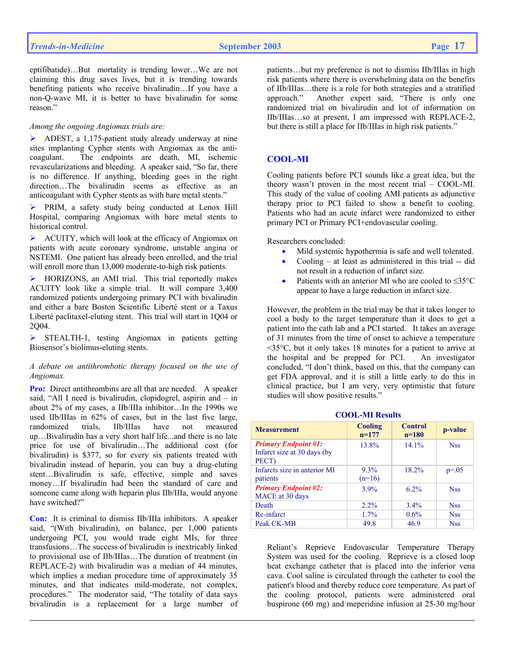eptifibatide)…But mortality is trending lower…We are not claiming this drug saves lives, but it is trending towards benefiting patients who receive bivalirudin…If you have a non-Q-wave MI, it is better to have bivalirudin for some reason<sup>"</sup>

## *Among the ongoing Angiomax trials are:*

 $\triangleright$  ADEST, a 1,175-patient study already underway at nine sites implanting Cypher stents with Angiomax as the anticoagulant. The endpoints are death, MI, ischemic revascularizations and bleeding. A speaker said, "So far, there is no difference. If anything, bleeding goes in the right direction…The bivalirudin seems as effective as an anticoagulant with Cypher stents as with bare metal stents."

¾ PRIM, a safety study being conducted at Lenox Hill Hospital, comparing Angiomax with bare metal stents to historical control.

 $\triangleright$  ACUITY, which will look at the efficacy of Angiomax on patients with acute coronary syndrome, unstable angina or NSTEMI. One patient has already been enrolled, and the trial will enroll more than 13,000 moderate-to-high risk patients.

¾ HORIZONS, an AMI trial. This trial reportedly makes ACUITY look like a simple trial. It will compare 3,400 randomized patients undergoing primary PCI with bivalirudin and either a bare Boston Scientific Liberté stent or a Taxus Liberté paclitaxel-eluting stent. This trial will start in 1Q04 or 2Q04.

¾ STEALTH-1, testing Angiomax in patients getting Biosensor's biolimus-eluting stents.

## *A debate on antithrombotic therapy focused on the use of Angiomax.*

**Pro:** Direct antithrombins are all that are needed. A speaker said, "All I need is bivalirudin, clopidogrel, aspirin and – in about 2% of my cases, a IIb/IIIa inhibitor…In the 1990s we used IIb/IIIas in 62% of cases, but in the last five large, randomized trials, IIb/IIIas have not measured up…Bivalirudin has a very short half life...and there is no late price for use of bivalirudin…The additional cost (for bivalirudin) is \$377, so for every six patients treated with bivalirudin instead of heparin, you can buy a drug-eluting stent…Bivalirudin is safe, effective, simple and saves money…If bivalirudin had been the standard of care and someone came along with heparin plus IIb/IIIa, would anyone have switched?"

**Con:** It is criminal to dismiss IIb/IIIa inhibitors. A speaker said, "(With bivalirudin), on balance, per 1,000 patients undergoing PCI, you would trade eight MIs, for three transfusions…The success of bivalirudin is inextricably linked to provisional use of IIb/IIIas…The duration of treatment (in REPLACE-2) with bivalirudin was a median of 44 minutes, which implies a median procedure time of approximately 35 minutes, and that indicates mild-moderate, not complex, procedures." The moderator said, "The totality of data says bivalirudin is a replacement for a large number of

patients…but my preference is not to dismiss IIb/IIIas in high risk patients where there is overwhelming data on the benefits of IIb/IIIas…there is a role for both strategies and a stratified approach." Another expert said, "There is only one randomized trial on bivalirudin and lot of information on IIb/IIIas…so at present, I am impressed with REPLACE-2, but there is still a place for IIb/IIIas in high risk patients."

# **COOL-MI**

Cooling patients before PCI sounds like a great idea, but the theory wasn't proven in the most recent trial – COOL-MI. This study of the value of cooling AMI patients as adjunctive therapy prior to PCI failed to show a benefit to cooling. Patients who had an acute infarct were randomized to either primary PCI or Primary PCI+endovascular cooling.

Researchers concluded:

- Mild systemic hypothermia is safe and well tolerated.
- Cooling  $-$  at least as administered in this trial  $-$  did not result in a reduction of infarct size.
- Patients with an anterior MI who are cooled to  $\leq 35^{\circ}$ C appear to have a large reduction in infarct size.

However, the problem in the trial may be that it takes longer to cool a body to the target temperature than it does to get a patient into the cath lab and a PCI started. It takes an average of 31 minutes from the time of onset to achieve a temperature <35°C, but it only takes 18 minutes for a patient to arrive at the hospital and be prepped for PCI. An investigator concluded, "I don't think, based on this, that the company can get FDA approval, and it is still a little early to do this in clinical practice, but I am very, very optimistic that future studies will show positive results."

| <b>Measurement</b>                                                  | <b>Cooling</b><br>$n=177$ | <b>Control</b><br>$n=180$ | p-value    |
|---------------------------------------------------------------------|---------------------------|---------------------------|------------|
| <b>Primary Endpoint #1:</b><br>Infarct size at 30 days (by<br>PECT) | 13.8%                     | 14.1%                     | <b>Nss</b> |
| Infarcts size in anterior MI<br>patients                            | $9.3\%$<br>$(n=16)$       | 18.2%                     | $p = 0.05$ |
| <b>Primary Endpoint #2:</b><br>MACE at 30 days                      | 3.9%                      | $6.2\%$                   | <b>Nss</b> |
| Death                                                               | $2.2\%$                   | 3.4%                      | <b>Nss</b> |
| Re-infarct                                                          | 1.7%                      | 0.6%                      | <b>Nss</b> |
| Peak CK-MB                                                          | 49.8                      | 46.9                      | <b>Nss</b> |

 **COOL-MI Results**

## Reliant's Reprieve Endovascular Temperature Therapy System was used for the cooling. Reprieve is a closed loop heat exchange catheter that is placed into the inferior vena cava. Cool saline is circulated through the catheter to cool the patient's blood and thereby reduce core temperature. As part of the cooling protocol, patients were administered oral buspirone (60 mg) and meperidine infusion at 25-30 mg/hour